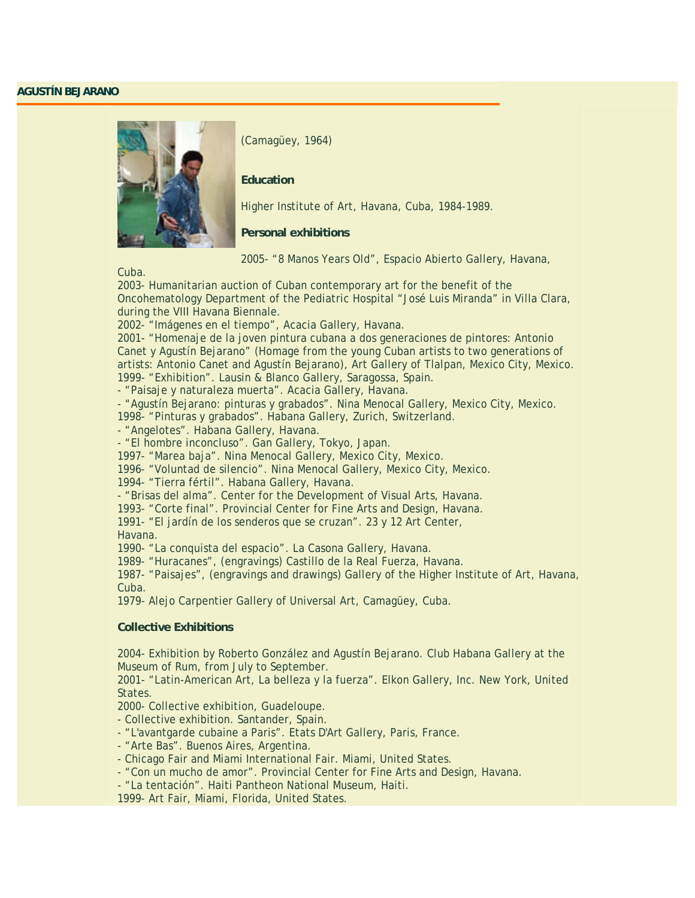## **AGUSTÍN BEJARANO**



(Camagüey, 1964)

## **Education**

Higher Institute of Art, Havana, Cuba, 1984-1989.

**Personal exhibitions** 

2005- "8 Manos Years Old", Espacio Abierto Gallery, Havana,

Cuba.

2003- Humanitarian auction of Cuban contemporary art for the benefit of the Oncohematology Department of the Pediatric Hospital "José Luis Miranda" in Villa Clara, during the VIII Havana Biennale.

2002- "Imágenes en el tiempo", Acacia Gallery, Havana.

2001- "Homenaje de la joven pintura cubana a dos generaciones de pintores: Antonio Canet y Agustín Bejarano" (Homage from the young Cuban artists to two generations of artists: Antonio Canet and Agustín Bejarano), Art Gallery of Tlalpan, Mexico City, Mexico. 1999- "Exhibition". Lausin & Blanco Gallery, Saragossa, Spain.

- "Paisaje y naturaleza muerta". Acacia Gallery, Havana.

- "Agustín Bejarano: pinturas y grabados". Nina Menocal Gallery, Mexico City, Mexico.

1998- "Pinturas y grabados". Habana Gallery, Zurich, Switzerland.

- "Angelotes". Habana Gallery, Havana.

- "El hombre inconcluso". Gan Gallery, Tokyo, Japan.

1997- "Marea baja". Nina Menocal Gallery, Mexico City, Mexico.

1996- "Voluntad de silencio". Nina Menocal Gallery, Mexico City, Mexico.

1994- "Tierra fértil". Habana Gallery, Havana.

- "Brisas del alma". Center for the Development of Visual Arts, Havana.

1993- "Corte final". Provincial Center for Fine Arts and Design, Havana.

1991- "El jardín de los senderos que se cruzan". 23 y 12 Art Center,

Havana.

1990- "La conquista del espacio". La Casona Gallery, Havana.

1989- "Huracanes", (engravings) Castillo de la Real Fuerza, Havana.

1987- "Paisajes", (engravings and drawings) Gallery of the Higher Institute of Art, Havana, Cuba.

1979- Alejo Carpentier Gallery of Universal Art, Camagüey, Cuba.

## **Collective Exhibitions**

2004- Exhibition by Roberto González and Agustín Bejarano. Club Habana Gallery at the Museum of Rum, from July to September.

2001- "Latin-American Art, La belleza y la fuerza". Elkon Gallery, Inc. New York, United States.

2000- Collective exhibition, Guadeloupe.

- Collective exhibition. Santander, Spain.

- "L'avantgarde cubaine a Paris". Etats D'Art Gallery, Paris, France.

- "Arte Bas". Buenos Aires, Argentina.

- Chicago Fair and Miami International Fair. Miami, United States.

- "Con un mucho de amor". Provincial Center for Fine Arts and Design, Havana.

- "La tentación". Haiti Pantheon National Museum, Haiti.

1999- Art Fair, Miami, Florida, United States.